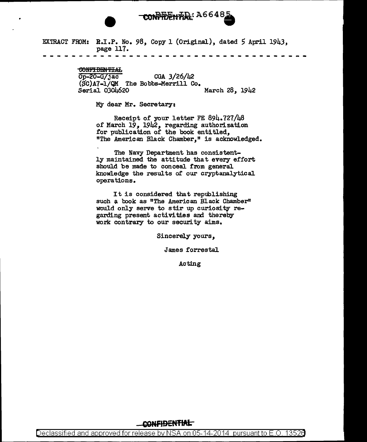# CONFIDENTIAL: A6648

EXTRACT FROM: R.I.P. No. 98, Copy 1 (Original), dated 5 April 1943, page 117.

#### <del>CONFIDENTIAL</del>

 $\overline{Op-20-G/jac}$  CGA 3/26/42  $(SC)$ A7-1/QM The Bobbs-Merrill Co.<br>Serial 0304620 March 28, 1942

MY dear Mr. Secretary:

Receipt of your letter FE 894. 727/48 of March *19,* 1942, regarding authorization for publication of the book entitled, "The American Black Chamber," is acknowledged.

The Navy Department has consistently maintained the attitude that every effort should be made to conceal from general knowledge the results of our cryptanalytical operations.

It is considered that republishing such a book as "The American Black Chamber" would only serve to stir up curiosity regarding present activities and thereby work contrary to our security aims.

Sincerely yours,

James forrestal

Acting

### CONFIDENTIAL

Declassified and approved for release by NSA on 05-14-2014 pursuantto E.O. 1352a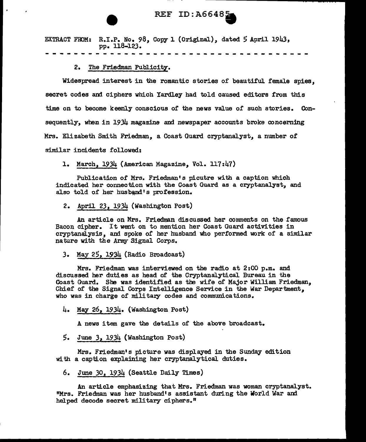### REF ID: A66485

EXTRACT FROM: R.I.P. No. 98, Copy 1 (Original), dated 5 April 1943, PP• 118-123.

2. The Friedman Publicity.

Widespread interest in the romantic stories of beautiful female spies, secret codes and ciphers which Yardley had told caused editors from this time on to become keenly conscious of the news value of such stories. Consequently, when in  $1934$  magazine and newspaper accounts broke concerning Mrs. Elizabeth Smith Friedman, a Coast Guard cryptanalyst, a number of

similar incidents followed:

1. March,  $1934$  (American Magazine, Vol. 117:47)

Publication or Mrs. Friedman's picutre with a caption which indicated her connection with the Coast Guard as a cryptanalyst, and also told of her husband's profession.

2. April 23, 1934 (Washington Post)

An article on Mrs. Friedman discussed her comments on the famous Bacon cipher. It went on to mention her Coast Guard activities in cryptanalysis, and spoke of her husband who performed work of a similar nature with the Army Signal Corps.

*3.* May 25, 1934 (Radio Broadcast)

Mrs. Friedman was interViewed on the radio at 2:00 p.m. and discussed her duties as head of the Cryptanalytical Bureau in the Coast Guard. She was identified as the wife of Major William Friedman, Chief of the Signal Corps Intelligence Service in the War Department, who was in charge of military codes and communications.

4. May 26, 1934. (Washington Post)

A news item gave the details of the above broadcast.

5. June *3,* 1934 (Washington Post)

Mrs. Friedman's picture was displayed in the Sunday edition with a caption explaining her cryptanalytical duties.

6. June *30,* 1934 (Seattle Daily Times)

An article emphasizing that Mrs. Friedman was woman cryptanalyst. "Mrs. Friedman was her husband• s assistant during the World War and helped decode secret military ciphers."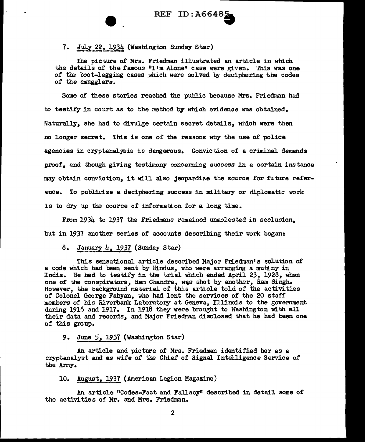### 7. July 22,  $1934$  (Washington Sunday Star)

The picture of Mrs. Friedman illustrated an article in which the details of the famous "I'm Alone" case were given. This was one of the boot-legging cases which were solved by deciphering the codes of the smugglers.

Some of these stories reached the public because Mrs. Friedman had to testify in court as to the method by which evidence was obtained. Naturally, she had to divulge certain secret details, which were then no longer secret. This is one of the reasons why the use of police agencies in cryptanalysis is dangerous. Conviction of a criminal demands proof, and though giving testimony concerning success in a certain instance may obtain conviction, it will also jeopardize the source for future reference. To publicize a deciphering success in military or diplomatic work is to dry up the cource of information for a long time.

From 1934 to 1937 the Friedmans remained unmolested in seclusion. but in 1937 another series of accounts describing their work began:

## 8. January  $\mu$ , 1937 (Sunday Star)

This sensational article described Major Friedman's solution of a code which had been sent by Hindus, who were arranging a mutiny in India. He had to testify in the trial which ended April 23, 1928, when one of the conspirators, Ram Chandra, was shot by another, Ram Singh. However, the background materia1 of this article told of the activities of Colonel George Fabyan, who had lent the services of the 20 staff members of his Riverbank Laboratory at Geneva, Illinois to the government during 1916 and 1917. In 1918 they were brought to Washington with all their data and records, and Major Friedman disclosed that he had been one of this group.

### 9. June *5,* 1937 (Washington Star)

An article and picture of Mrs. Friedman identified her as a cryptanalyst and as wife of the Chief of Signal Intelligence Service of the Army.

### 10. August, 1937 (American Legion Magazine)

An article "Codes-Fact and Fallacy" described in detail some of the activities of Mr. and Mrs. Friedman.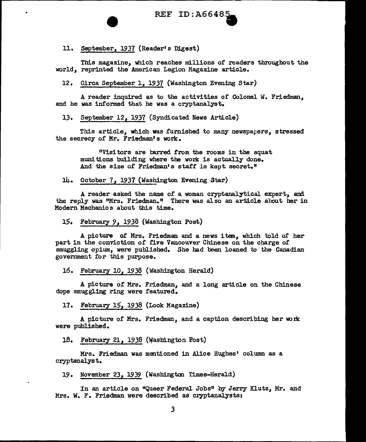### 11. September, 1937 (Reader's Digest}

This magazine, which reaches millions of readers throughout the world, reprinted the American Legion Magazine article.

12. Circa September 1, 1937 (Washington Evening Star)

A reader inquired as to the activities of Colonel W. Friedman, and he was informed that he was a cryptanalyst.

13. September 12, 1937 (Syndicated News Article)

This article, which was furnished to many newspapers, stressed the secrecy of Mr. Friedman' s work.

<sup>11</sup>Vis1 tors are barred from the rooms in the squat munitions building where the work is actually done. And the size of Friedman's staff is kept secret."

14. October 7, 1937 (Washington Evening Star}

A reader asked the name of a woman cryptanalytical expert, and the reply was "Mrs. Friedman." There was also an article about her in Modern Mechanics about this time.

15. February 9, 1938 (Washington Post)

A picture of Mrs. Friedman and a news item, which told of her part in the conviction of five Vancouver Chinese on the charge of smuggling opium, were published. She had been loaned to the Canadian government for this purpose.

16. February 10, 1938 (Washington Herald)

A picture of Mrs. Friedman, and a long article on the Chinese dope smuggling ring were featured.

17. February 15, 1938 (Look Magazine)

A picture of Mrs. Friedman, and a caption describing her work were published.

18. February 21, 1938 (Washington Post)

Mrs. Friedman was mentioned in Alice Hughes' column as a cryptanalyst.

19. November 23, 1939 (Washington Times-Herald)

In an article on "Queer Federal Jobs" by Jerry Klutz, Mr. and Mrs. W. F. Friedman were described as cryptanalysts: